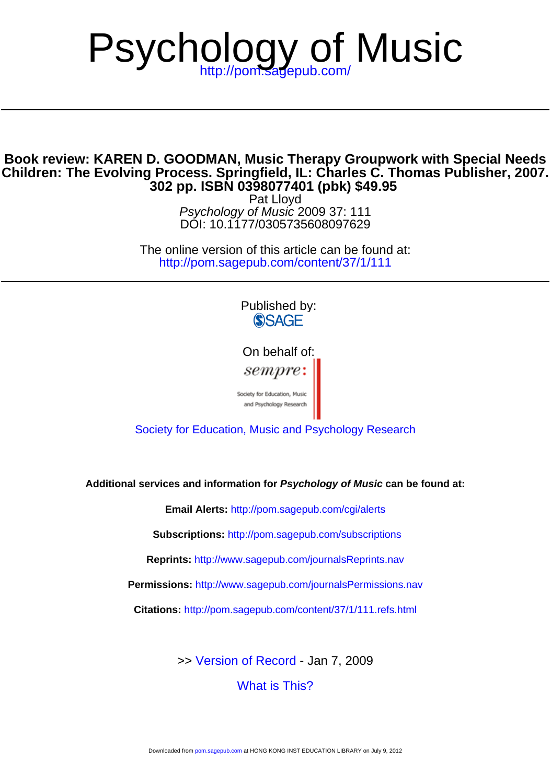# Psychology of Music

### **302 pp. ISBN 0398077401 (pbk) \$49.95 Children: The Evolving Process. Springfield, IL: Charles C. Thomas Publisher, 2007. Book review: KAREN D. GOODMAN, Music Therapy Groupwork with Special Needs**

DOI: 10.1177/0305735608097629 Psychology of Music 2009 37: 111 Pat Lloyd

<http://pom.sagepub.com/content/37/1/111> The online version of this article can be found at:

> Published by: **SSAGE**

On behalf of: sempre:

Society for Education, Music<br>and Psychology Research

[Society for Education, Music and Psychology Research](http://www.sempre.org.uk)

**Additional services and information for Psychology of Music can be found at:**

**Email Alerts:** <http://pom.sagepub.com/cgi/alerts>

**Subscriptions:** <http://pom.sagepub.com/subscriptions>

**Reprints:** <http://www.sagepub.com/journalsReprints.nav>

**Permissions:** <http://www.sagepub.com/journalsPermissions.nav>

**Citations:** <http://pom.sagepub.com/content/37/1/111.refs.html>

>> [Version of Record -](http://pom.sagepub.com/content/37/1/111.full.pdf) Jan 7, 2009

[What is This?](http://online.sagepub.com/site/sphelp/vorhelp.xhtml)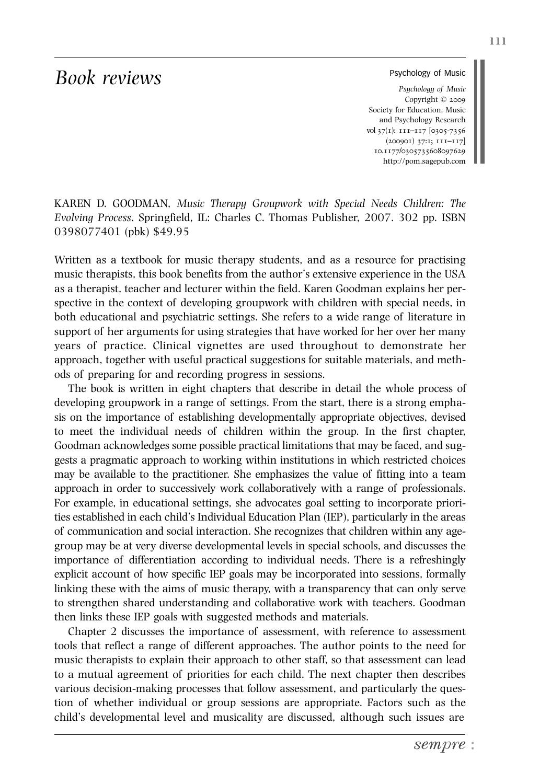## *Book reviews*

#### Psychology of Music

*Psychology of Music* Copyright © 2009 Society for Education, Music and Psychology Research vol 37(1): 111–117 [0305-7356 (200901) 37:1; 111–117] 10.1177/0305735608097629 http://pom.sagepub.com

KAREN D. GOODMAN, *Music Therapy Groupwork with Special Needs Children: The Evolving Process*. Springfield, IL: Charles C. Thomas Publisher, 2007. 302 pp. ISBN 0398077401 (pbk) \$49.95

Written as a textbook for music therapy students, and as a resource for practising music therapists, this book benefits from the author's extensive experience in the USA as a therapist, teacher and lecturer within the field. Karen Goodman explains her perspective in the context of developing groupwork with children with special needs, in both educational and psychiatric settings. She refers to a wide range of literature in support of her arguments for using strategies that have worked for her over her many years of practice. Clinical vignettes are used throughout to demonstrate her approach, together with useful practical suggestions for suitable materials, and methods of preparing for and recording progress in sessions.

The book is written in eight chapters that describe in detail the whole process of developing groupwork in a range of settings. From the start, there is a strong emphasis on the importance of establishing developmentally appropriate objectives, devised to meet the individual needs of children within the group. In the first chapter, Goodman acknowledges some possible practical limitations that may be faced, and suggests a pragmatic approach to working within institutions in which restricted choices may be available to the practitioner. She emphasizes the value of fitting into a team approach in order to successively work collaboratively with a range of professionals. For example, in educational settings, she advocates goal setting to incorporate priorities established in each child's Individual Education Plan (IEP), particularly in the areas of communication and social interaction. She recognizes that children within any agegroup may be at very diverse developmental levels in special schools, and discusses the importance of differentiation according to individual needs. There is a refreshingly explicit account of how specific IEP goals may be incorporated into sessions, formally linking these with the aims of music therapy, with a transparency that can only serve to strengthen shared understanding and collaborative work with teachers. Goodman then links these IEP goals with suggested methods and materials.

Chapter 2 discusses the importance of assessment, with reference to assessment tools that reflect a range of different approaches. The author points to the need for music therapists to explain their approach to other staff, so that assessment can lead to a mutual agreement of priorities for each child. The next chapter then describes various decision-making processes that follow assessment, and particularly the question of whether individual or group sessions are appropriate. Factors such as the child's developmental level and musicality are discussed, although such issues are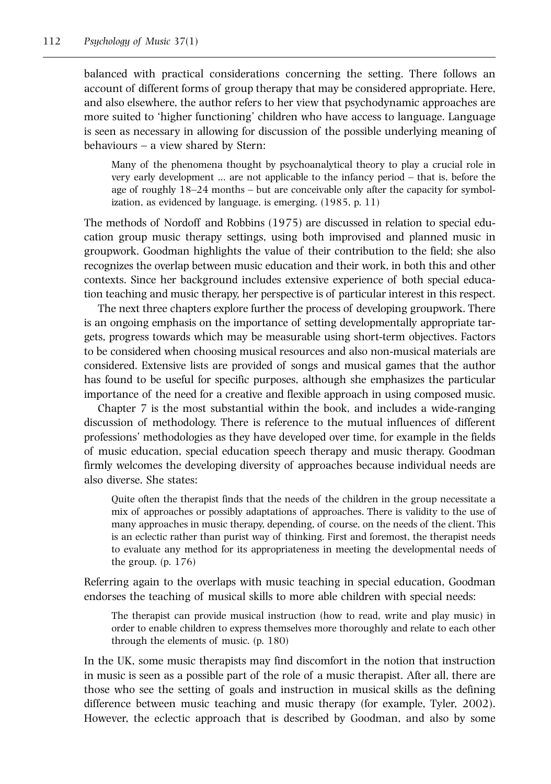balanced with practical considerations concerning the setting. There follows an account of different forms of group therapy that may be considered appropriate. Here, and also elsewhere, the author refers to her view that psychodynamic approaches are more suited to 'higher functioning' children who have access to language. Language is seen as necessary in allowing for discussion of the possible underlying meaning of behaviours – a view shared by Stern:

Many of the phenomena thought by psychoanalytical theory to play a crucial role in very early development … are not applicable to the infancy period – that is, before the age of roughly 18–24 months – but are conceivable only after the capacity for symbolization, as evidenced by language, is emerging. (1985, p. 11)

The methods of Nordoff and Robbins (1975) are discussed in relation to special education group music therapy settings, using both improvised and planned music in groupwork. Goodman highlights the value of their contribution to the field; she also recognizes the overlap between music education and their work, in both this and other contexts. Since her background includes extensive experience of both special education teaching and music therapy, her perspective is of particular interest in this respect.

The next three chapters explore further the process of developing groupwork. There is an ongoing emphasis on the importance of setting developmentally appropriate targets, progress towards which may be measurable using short-term objectives. Factors to be considered when choosing musical resources and also non-musical materials are considered. Extensive lists are provided of songs and musical games that the author has found to be useful for specific purposes, although she emphasizes the particular importance of the need for a creative and flexible approach in using composed music.

Chapter 7 is the most substantial within the book, and includes a wide-ranging discussion of methodology. There is reference to the mutual influences of different professions' methodologies as they have developed over time, for example in the fields of music education, special education speech therapy and music therapy. Goodman firmly welcomes the developing diversity of approaches because individual needs are also diverse. She states:

Quite often the therapist finds that the needs of the children in the group necessitate a mix of approaches or possibly adaptations of approaches. There is validity to the use of many approaches in music therapy, depending, of course, on the needs of the client. This is an eclectic rather than purist way of thinking. First and foremost, the therapist needs to evaluate any method for its appropriateness in meeting the developmental needs of the group. (p. 176)

Referring again to the overlaps with music teaching in special education, Goodman endorses the teaching of musical skills to more able children with special needs:

The therapist can provide musical instruction (how to read, write and play music) in order to enable children to express themselves more thoroughly and relate to each other through the elements of music. (p. 180)

In the UK, some music therapists may find discomfort in the notion that instruction in music is seen as a possible part of the role of a music therapist. After all, there are those who see the setting of goals and instruction in musical skills as the defining difference between music teaching and music therapy (for example, Tyler, 2002). However, the eclectic approach that is described by Goodman, and also by some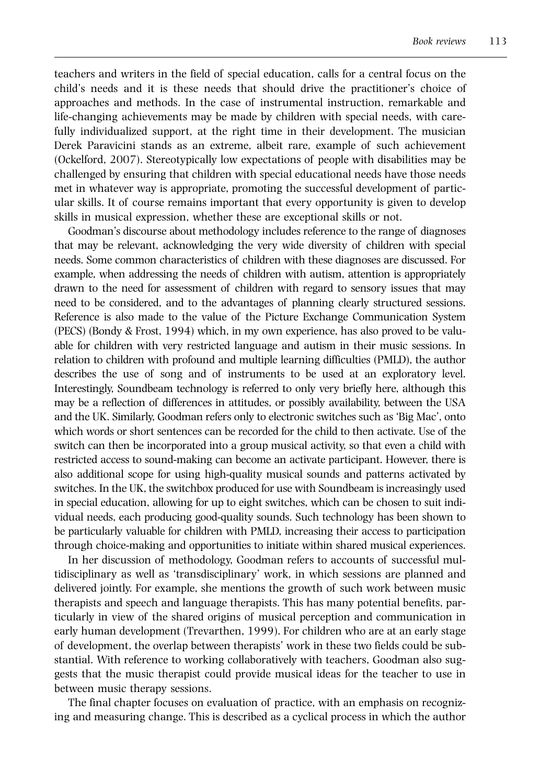teachers and writers in the field of special education, calls for a central focus on the child's needs and it is these needs that should drive the practitioner's choice of approaches and methods. In the case of instrumental instruction, remarkable and life-changing achievements may be made by children with special needs, with carefully individualized support, at the right time in their development. The musician Derek Paravicini stands as an extreme, albeit rare, example of such achievement (Ockelford, 2007). Stereotypically low expectations of people with disabilities may be challenged by ensuring that children with special educational needs have those needs met in whatever way is appropriate, promoting the successful development of particular skills. It of course remains important that every opportunity is given to develop skills in musical expression, whether these are exceptional skills or not.

Goodman's discourse about methodology includes reference to the range of diagnoses that may be relevant, acknowledging the very wide diversity of children with special needs. Some common characteristics of children with these diagnoses are discussed. For example, when addressing the needs of children with autism, attention is appropriately drawn to the need for assessment of children with regard to sensory issues that may need to be considered, and to the advantages of planning clearly structured sessions. Reference is also made to the value of the Picture Exchange Communication System (PECS) (Bondy & Frost, 1994) which, in my own experience, has also proved to be valuable for children with very restricted language and autism in their music sessions. In relation to children with profound and multiple learning difficulties (PMLD), the author describes the use of song and of instruments to be used at an exploratory level. Interestingly, Soundbeam technology is referred to only very briefly here, although this may be a reflection of differences in attitudes, or possibly availability, between the USA and the UK. Similarly, Goodman refers only to electronic switches such as 'Big Mac', onto which words or short sentences can be recorded for the child to then activate. Use of the switch can then be incorporated into a group musical activity, so that even a child with restricted access to sound-making can become an activate participant. However, there is also additional scope for using high-quality musical sounds and patterns activated by switches. In the UK, the switchbox produced for use with Soundbeam is increasingly used in special education, allowing for up to eight switches, which can be chosen to suit individual needs, each producing good-quality sounds. Such technology has been shown to be particularly valuable for children with PMLD, increasing their access to participation through choice-making and opportunities to initiate within shared musical experiences.

In her discussion of methodology, Goodman refers to accounts of successful multidisciplinary as well as 'transdisciplinary' work, in which sessions are planned and delivered jointly. For example, she mentions the growth of such work between music therapists and speech and language therapists. This has many potential benefits, particularly in view of the shared origins of musical perception and communication in early human development (Trevarthen, 1999). For children who are at an early stage of development, the overlap between therapists' work in these two fields could be substantial. With reference to working collaboratively with teachers, Goodman also suggests that the music therapist could provide musical ideas for the teacher to use in between music therapy sessions.

The final chapter focuses on evaluation of practice, with an emphasis on recognizing and measuring change. This is described as a cyclical process in which the author